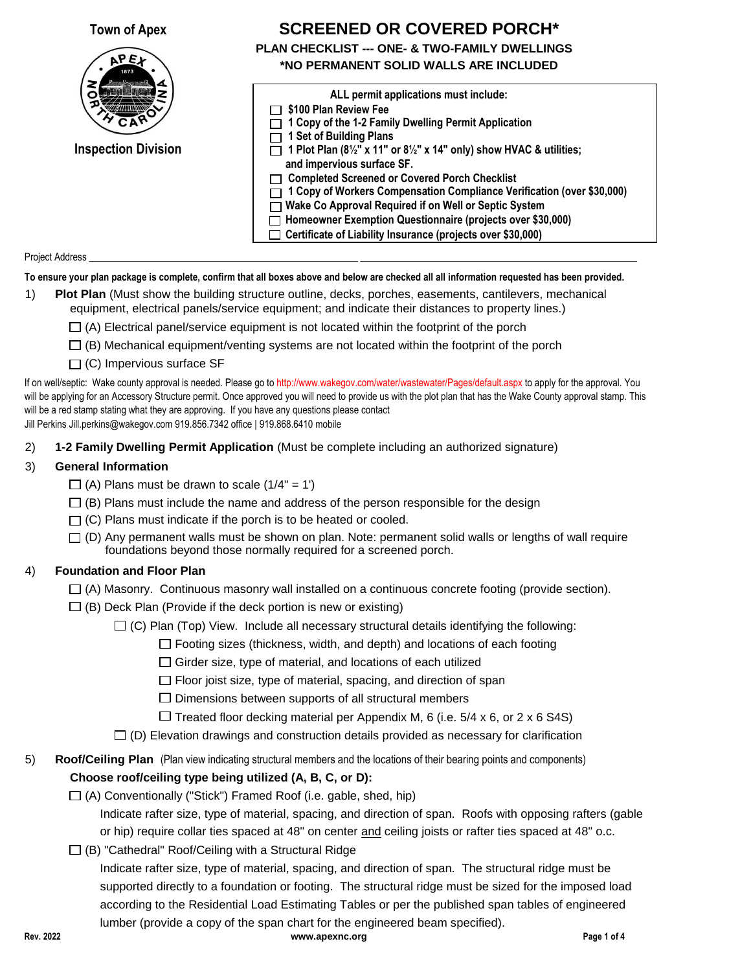**Town of Apex**



**Inspection Division**

## **PLAN CHECKLIST --- ONE- & TWO-FAMILY DWELLINGS SCREENED OR COVERED PORCH\***

# **\*NO PERMANENT SOLID WALLS ARE INCLUDED**

| ALL permit applications must include:                                                                                    |
|--------------------------------------------------------------------------------------------------------------------------|
| \$100 Plan Review Fee                                                                                                    |
| 1 Copy of the 1-2 Family Dwelling Permit Application                                                                     |
| 1 Set of Building Plans                                                                                                  |
| 1 Plot Plan $(8\frac{1}{2}$ " x 11" or $8\frac{1}{2}$ " x 14" only) show HVAC & utilities;<br>and impervious surface SF. |
| <b>Completed Screened or Covered Porch Checklist</b>                                                                     |
| 1 Copy of Workers Compensation Compliance Verification (over \$30,000)                                                   |
| 7 Wake Co Approval Required if on Well or Septic System                                                                  |
| Homeowner Exemption Questionnaire (projects over \$30,000)                                                               |
| $\Box$ Certificate of Liability Insurance (projects over \$30,000)                                                       |

#### Project Address \_\_\_\_\_\_\_\_\_\_\_\_\_\_\_\_\_\_\_\_\_\_\_\_\_\_\_\_\_\_\_\_\_\_\_\_\_\_\_\_\_\_\_\_\_\_\_\_\_\_\_\_\_\_\_\_\_\_\_\_\_\_\_\_\_\_\_\_\_\_\_\_\_\_\_\_\_\_\_\_\_\_\_\_\_\_\_\_\_\_\_\_\_\_\_\_\_\_\_\_\_\_\_\_\_\_\_\_\_\_\_\_\_

#### **To ensure your plan package is complete, confirm that all boxes above and below are checked all all information requested has been provided.**

- 1) **Plot Plan** (Must show the building structure outline, decks, porches, easements, cantilevers, mechanical equipment, electrical panels/service equipment; and indicate their distances to property lines.)
	- $\Box$  (A) Electrical panel/service equipment is not located within the footprint of the porch
	- $\Box$  (B) Mechanical equipment/venting systems are not located within the footprint of the porch
	- $\Box$  (C) Impervious surface SF

If on well/septic: Wake county approval is needed. Please go to http://www.wakegov.com/water/wastewater/Pages/default.aspx to apply for the approval. You will be applying for an Accessory Structure permit. Once approved you will need to provide us with the plot plan that has the Wake County approval stamp. This will be a red stamp stating what they are approving. If you have any questions please contact Jill Perkins Jill.perkins@wakegov.com 919.856.7342 office | 919.868.6410 mobile

2) **1-2 Family Dwelling Permit Application** (Must be complete including an authorized signature)

#### 3) **General Information**

- $\Box$  (A) Plans must be drawn to scale (1/4" = 1')
- $\Box$  (B) Plans must include the name and address of the person responsible for the design
- $\Box$  (C) Plans must indicate if the porch is to be heated or cooled.
- foundations beyond those normally required for a screened porch.  $\Box$  (D) Any permanent walls must be shown on plan. Note: permanent solid walls or lengths of wall require

#### 4) **Foundation and Floor Plan**

- $\Box$  (A) Masonry. Continuous masonry wall installed on a continuous concrete footing (provide section).
- $\Box$  (B) Deck Plan (Provide if the deck portion is new or existing)
	- $\Box$  (C) Plan (Top) View. Include all necessary structural details identifying the following:

 $\Box$  Footing sizes (thickness, width, and depth) and locations of each footing

 $\Box$  Girder size, type of material, and locations of each utilized

 $\Box$  Floor joist size, type of material, spacing, and direction of span

 $\square$  Dimensions between supports of all structural members

 $\Box$  Treated floor decking material per Appendix M, 6 (i.e. 5/4 x 6, or 2 x 6 S4S)

 $\Box$  (D) Elevation drawings and construction details provided as necessary for clarification

### 5) **Roof/Ceiling Plan** (Plan view indicating structural members and the locations of their bearing points and components) **Choose roof/ceiling type being utilized (A, B, C, or D):**

 $\Box$  (A) Conventionally ("Stick") Framed Roof (i.e. gable, shed, hip)

Indicate rafter size, type of material, spacing, and direction of span. Roofs with opposing rafters (gable or hip) require collar ties spaced at 48" on center and ceiling joists or rafter ties spaced at 48" o.c.

(B) "Cathedral" Roof/Ceiling with a Structural Ridge

Indicate rafter size, type of material, spacing, and direction of span. The structural ridge must be supported directly to a foundation or footing. The structural ridge must be sized for the imposed load according to the Residential Load Estimating Tables or per the published span tables of engineered lumber (provide a copy of the span chart for the engineered beam specified).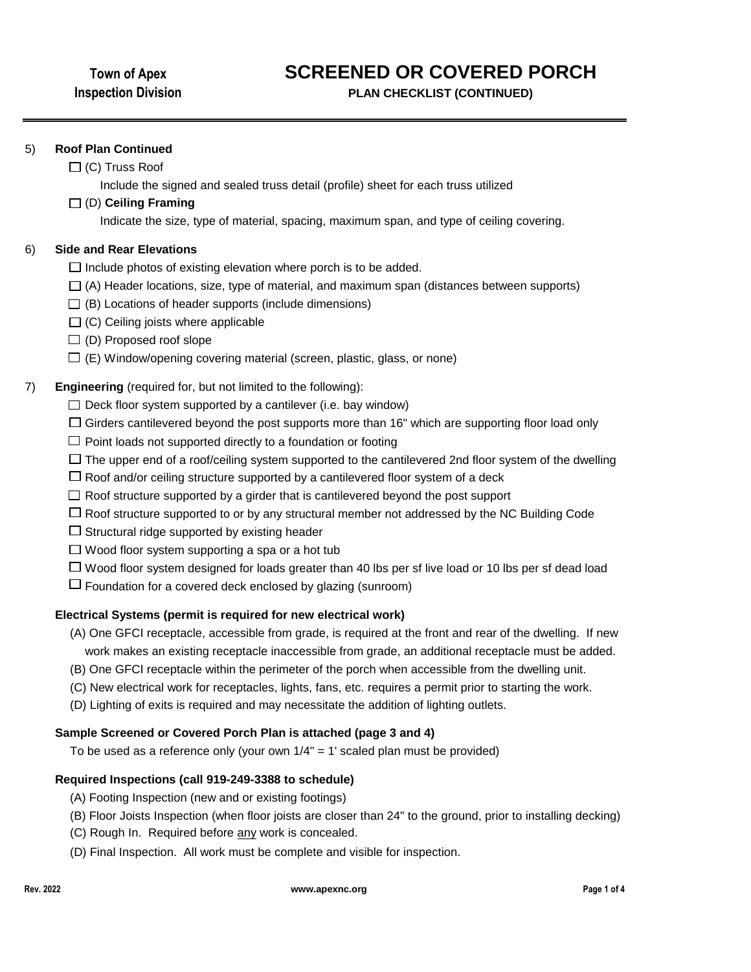# **SCREENED OR COVERED PORCH**

**PLAN CHECKLIST (CONTINUED)**

#### 5) **Roof Plan Continued**

 $\Box$  (C) Truss Roof

Include the signed and sealed truss detail (profile) sheet for each truss utilized

#### (D) **Ceiling Framing**

Indicate the size, type of material, spacing, maximum span, and type of ceiling covering.

#### 6) **Side and Rear Elevations**

- $\Box$  Include photos of existing elevation where porch is to be added.
- $\Box$  (A) Header locations, size, type of material, and maximum span (distances between supports)
- $\Box$  (B) Locations of header supports (include dimensions)
- $\Box$  (C) Ceiling joists where applicable
- $\Box$  (D) Proposed roof slope
- $\Box$  (E) Window/opening covering material (screen, plastic, glass, or none)

#### 7) **Engineering** (required for, but not limited to the following):

- $\Box$  Deck floor system supported by a cantilever (i.e. bay window)
- $\Box$  Girders cantilevered beyond the post supports more than 16" which are supporting floor load only
- $\Box$  Point loads not supported directly to a foundation or footing
- $\Box$  The upper end of a roof/ceiling system supported to the cantilevered 2nd floor system of the dwelling
- $\Box$  Roof and/or ceiling structure supported by a cantilevered floor system of a deck
- $\Box$  Roof structure supported by a girder that is cantilevered beyond the post support
- $\Box$  Roof structure supported to or by any structural member not addressed by the NC Building Code
- $\Box$  Structural ridge supported by existing header
- $\Box$  Wood floor system supporting a spa or a hot tub
- $\Box$  Wood floor system designed for loads greater than 40 lbs per sf live load or 10 lbs per sf dead load
- $\Box$  Foundation for a covered deck enclosed by glazing (sunroom)

#### **Electrical Systems (permit is required for new electrical work)**

- (A) One GFCI receptacle, accessible from grade, is required at the front and rear of the dwelling. If new work makes an existing receptacle inaccessible from grade, an additional receptacle must be added.
- (B) One GFCI receptacle within the perimeter of the porch when accessible from the dwelling unit.
- (C) New electrical work for receptacles, lights, fans, etc. requires a permit prior to starting the work.
- (D) Lighting of exits is required and may necessitate the addition of lighting outlets.

#### **Sample Screened or Covered Porch Plan is attached (page 3 and 4)**

To be used as a reference only (your own 1/4" = 1' scaled plan must be provided)

#### **Required Inspections (call 919-249-3388 to schedule)**

- (A) Footing Inspection (new and or existing footings)
- (B) Floor Joists Inspection (when floor joists are closer than 24" to the ground, prior to installing decking)
- (C) Rough In. Required before any work is concealed.
- (D) Final Inspection. All work must be complete and visible for inspection.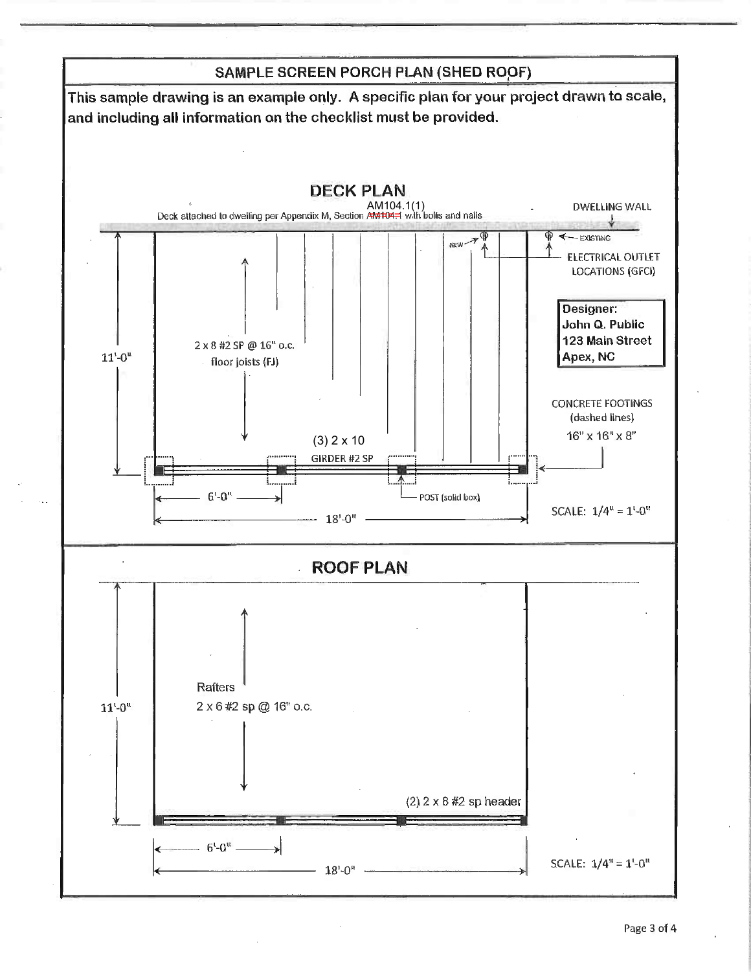